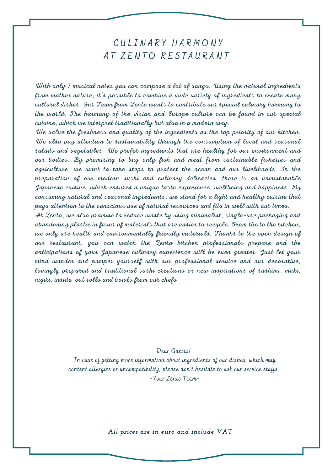## C U L I N A R Y H A R M O N Y AT ZENTO RESTAURANT

With only 7 musical notes you can compose a lot of songs. Using the natural ingredients from mother nature, it's possible to combine a wide variety of ingredients to create many cultural dishes. Our Team from Zento wants to contribute our special culinary harmony to the world. The harmony of the Asian and Europe culture can be found in our special cuisine, which we interpret traditionally but also in a modern way.

We value the freshness and quality of the ingredients as the top priority of our kitchen. We also pay attention to sustainability through the consumption of local and seasonal salads and vegetables. We prefer ingredients that are healthy for our environment and our bodies. By promising to buy only fish and meat from sustainable fisheries and agriculture, we want to take steps to protect the ocean and our livelihoods. In the preparation of our modern sushi and culinary delicacies, there is an unmistakable Japanese cuisine, which ensures a unique taste experience, wellbeing and happiness. By consuming natural and seasonal ingredients, we stand for a light and healthy cuisine that pays attention to the conscious use of natural resources and fits in well with our times.

At Zento, we also promise to reduce waste by using minimalist, single-use packaging and abandoning plastic in favor of materials that are easier to recycle. From the to the kitchen, we only use health and environmentally friendly materials. Thanks to the open design of our restaurant, you can watch the Zento kitchen professionals prepare and the anticipations of your Japanese culinary experience will be even greater. Just let your mind wander and pamper yourself with our professional service and our decorative, lovingly prepared and traditional sushi creations or new inspirations of sashimi, maki, nigiri, inside-out rolls and bowls from our chefs

### Dear Guests!

In case of getting more information about ingredients of our dishes, which may content allergies or uncompatibility, please don't hesitate to ask our service staffs. -Your Zento Team-

*All prices are in euro and include VAT*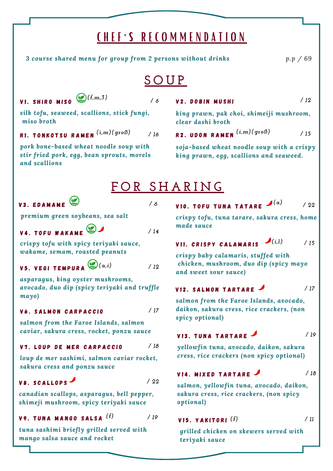# C H E F ' S R E C O M M E N D A T I O N

*3 course shared menu for group from 2 persons without drinks p.p / 69*

*/ 12*

# **S O U P**

**V2. DOBIN MUSHI** 

*clear dashi broth*

## V1. SHIRO MISO<sup>((f,m,3))</sup>

*/ 6*

*silk tofu, seaweed, scallions, stick fungi, miso broth*

R1. TONKOTSU RAMEN (i,m)(groß) */ 16* R 2 . U D O N R A M E N */ 15 (i,m)(groß) (i,m)(groß)*

*pork bone-based wheat noodle soup with stir fried pork, egg, bean sprouts, morels and scallions*

# **F O R S H A R I N G**

*/ 14*

*/ 6*

## V3. EDAMAME

*premium green soybeans, sea salt*

V4. TOFU WAKAME

*crispy tofu with spicy teriyaki sauce, wakame, semam, roasted peanuts*

#### V5. VEGI TEMPURA */ 12 (a,i)*

*asparagus, king oyster mushrooms, avocado, duo dip (spicy teriyaki and truffle mayo)*

### V6. SALMON CARPACCIO

*salmon from the Faroe Islands, salmon caviar, sakura cress, rocket, ponzu sauce*

#### V7. LOUP DE MER CARPACCIO */ 18*

*loup de mer sashimi, salmon caviar rocket, sakura cress and ponzu sauce*

## V8. SCALLOPS

*/ 22*

*/ 17*

*canadian scallops, asparagus, bell pepper, shimeji mushroom, spicy teriyaki sauce*

#### V 9 . T U N A M A N G O S A L S A *(f) / 19*

*tuna sashimi briefly grilled served with mango salsa sauce and rocket*

*crispy tofu, tuna tarare, sakura cress, home made sauce*

V 1 0 . T O F U T U N A T A T A R E */ <sup>22</sup> (a)*

*king prawn, pak choi, shimeiji mushroom,*

*soja-based wheat noodle soup with a crispy king prawn, egg, scallions and seaweed.*

## VII. CRISPY CALAMARIS<sup>(i,1)</sup>

*/ 15*

*crispy baby calamaris, stuffed with chicken, mushroom, duo dip (spicy mayo and sweet sour sauce)*

#### V12. SALMON TARTARE */ 17*

*salmon from the Faroe Islands, avocado, daikon, sakura cress, rice crackers, (non spicy optional)*

## V<sub>13</sub>. TUNA TARTARE

*/ 19*

*/ 11*

*yellowfin tuna, avocado, daikon, sakura cress, rice crackers (non spicy optional)*

#### V14. MIXED TARTARE */ 18*

*salmon, yellowfin tuna, avocado, daikon, sakura cress, rice crackers, (non spicy optional)*

### V 1 5 . Y A K I T O R I *(f)*

*grilled chicken on skewers served with teriyaki sauce*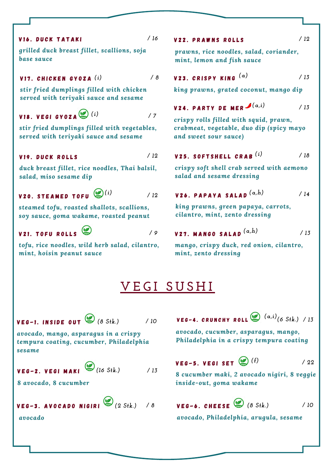### V16. DUCK TATAKI

*grilled duck breast fillet, scallions, soja base sauce*

### V 1 7 . C H I C K E N G Y O Z A *(i) / 8*

*stir fried dumplings filled with chicken served with teriyaki sauce and sesame*

### V18. VEGI GYOZA (2) (i) */ 7*

*stir fried dumplings filled with vegetables, served with teriyaki sauce and sesame*

### V19. DUCK ROLLS

*/ 12*

*/ 9*

*/ 12*

*duck breast fillet, rice noodles, Thai balsil, salad, miso sesame dip*

## V20. STEAMED TOFU  $^{(\!\!\!\!\!\!\!\!\bullet\!)\!}^{(i)}$

*steamed tofu, roasted shallots, scallions, soy sauce, goma wakame, roasted peanut*

# **V21. TOFU ROLLS**

*tofu, rice noodles, wild herb salad, cilantro, mint, hoisin peanut sauce*

## */ 16* V 2 2 . P R A W N S R O L L S

*prawns, rice noodles, salad, coriander, mint, lemon and fish sauce*

$$
V23. CRISPY KING(a) / 13
$$

*king prawns, grated coconut, mango dip*

V24. PARTY DE MER $\boldsymbol{\mathcal{I}}\left( \mathbf{\alpha},i\right)$ */ 13*

*crispy rolls filled with squid, prawn, crabmeat, vegetable, duo dip (spicy mayo and sweet sour sauce)*

#### V 2 5 . S O F T S H E L L C R A B *(i) / 18*

*crispy soft shell crab served with aemono salad and sesame dressing*

### V 2 6 . P A P A Y A S A L A D *(a,h) / 14*

*king prawns, green papaya, carrots, cilantro, mint, zento dressing*

V27. MANGO SALAD 
$$
(a,h)
$$
 / 13

*mango, crispy duck, red onion, cilantro, mint, zento dressing*

# **V E G I S U S H I**

V E G - 1 . I N S I D E O U T *(8 Stk.)*

*/ 10*

*avocado, mango, asparagus in a crispy tempura coating, cucumber, Philadelphia sesame*

# V E G - 2 . V E G I M A K I *(16 Stk.) / 13*

*8 avocado, 8 cucumber*

### VEG-3. AVOCADO NIGIRI $\bigotimes_{(2\text{ S}4\text{k.})}$ */ 8*

V E G - 4 . C R U N C H Y R O L L */ 13 (6 Stk.) (a,i)*

*avocado, cucumber, asparagus, mango, Philadelphia in a crispy tempura coating*

V E G - 5 . V E G I S E T *(f)/ 22*

*8 cucumber maki, 2 avocado nigiri, 8 veggie inside-out, goma wakame*

# V E G - 6 . C H E E S E *(2 Stk.) (8 Stk.)*

*avocado, Philadelphia, arugula, sesame*

*/ 10*

*avocado*

### */ 12*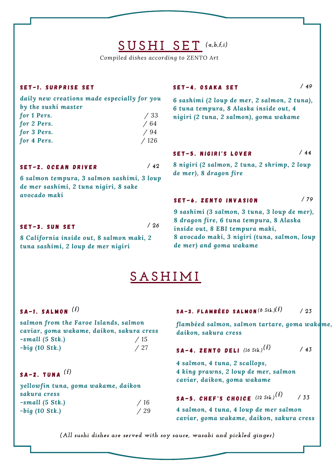# **S U S H I S E T** *(a,b,f,i)*

*Compiled dishes according to ZENTO Art*

### SET-1. SURPRISE SET

*daily new creations made especially for you by the sushi master for 1 Pers. / 33 for 2 Pers. / 64 for 3 Pers. / 94 for 4 Pers. / 126*

SET-2. OCEAN DRIVER

*6 salmon tempura, 3 salmon sashimi, 3 loup de mer sashimi, 2 tuna nigiri, 8 sake avocado maki*

SET-3. SUN SET

*/ 26*

*/ 42*

*8 California inside out, 8 salmon maki, 2 tuna sashimi, 2 loup de mer nigiri*

### SET-4. OSAKA SET

*/ 49*

*/ 79*

*6 sashimi (2 loup de mer, 2 salmon, 2 tuna), 6 tuna tempura, 8 Alaska inside out, 4 nigiri (2 tuna, 2 salmon), goma wakame*

#### SET-5. NIGIRI'S LOVER */ 44*

*8 nigiri (2 salmon, 2 tuna, 2 shrimp, 2 loup de mer), 8 dragon fire*

### SET-6. ZENTO INVASION

*9 sashimi (3 salmon, 3 tuna, 3 loup de mer), 8 dragon fire, 6 tuna tempura, 8 Alaska inside out, 8 EBI tempura maki, 8 avocado maki, 3 nigiri (tuna, salmon, loup de mer) and goma wakame*

# **S A S H I M I**

### S A - 1 . S A L M O N *(f)*

| salmon from the Faroe Islands, salmon     |     |
|-------------------------------------------|-----|
| caviar, goma wakame, daikon, sakura cress |     |
| $-small(5 Stk.)$                          | /15 |
| $-biq$ (10 Stk.)                          | /27 |

## S A - 2 . T U N A *(f)*

*yellowfin tuna, goma wakame, daikon sakura cress -small (5 Stk.) / 16 -big (10 Stk.) / 29*

#### S A - 3 . F L A M B É E D S A L M O N *(8 Stk.) (f) / 23*

*flambéed salmon, salmon tartare, goma wakame, daikon, sakura cress*

#### S A - 4 . Z E N T O D E L I *(16 Stk.) (f) / 43*

*4 salmon, 4 tuna, 2 scallops, 4 king prawns, 2 loup de mer, salmon caviar, daikon, goma wakame*

### SA-5. CHEF'S CHOICE  $^{(12\;S\text{t}\text{k.})} (^f)$ */ 33*

*4 salmon, 4 tuna, 4 loup de mer salmon caviar, goma wakame, daikon, sakura cress*

*(All sushi dishes are served with soy sauce, wasabi and pickled ginger)*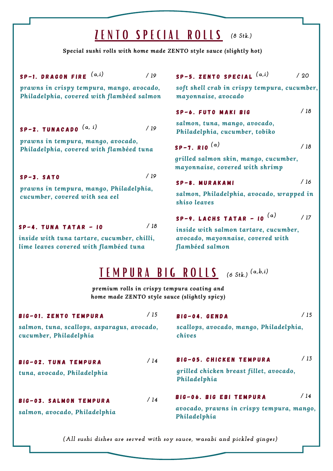# Z E N T O S P E C I A L R O L L S *(8 Stk.)*

*Special sushi rolls with home made ZENTO style sauce (slightly hot)*

SP-1. DRAGON FIRE  $(a,i)$ *prawns in crispy tempura, mango, avocado, Philadelphia, covered with flambéed salmon* S P - 5 . Z E N T O S P E C I A L */ 19 / 20 (a,i) (a,i) soft shell crab in crispy tempura, cucumber, mayonnaise, avocado* S P - 2 . T U N A C A D O *(a, i) prawns in tempura, mango, avocado, Philadelphia, covered with flambéed tuna* SP-6. FUTO MAKI BIG *salmon, tuna, mango, avocado, Philadelphia, cucumber, tobiko*  $SP-3.$   $SATO$ *prawns in tempura, mango, Philadelphia, cucumber, covered with sea eel* S P - 7 . R I O *(a) grilled salmon skin, mango, cucumber, mayonnaise, covered with shrimp* S P - 8 . M U R A K A M I *salmon, Philadelphia, avocado, wrapped in shiso leaves / 18 / 19 / 18 / 16* T E M P U R A B I G R O L L S *(6 Stk.) (a,b,i)premium rolls in crispy tempura coating and home made ZENTO style sauce (slightly spicy) / 19*  $SP-4.$  TUNA TATAR - 10 *inside with tuna tartare, cucumber, chilli, lime leaves covered with flambéed tuna / 18* S P - 9 . L A C H S T A T A R - I O *(a) inside with salmon tartare, cucumber, avocado, mayonnaise, covered with flambéed salmon / 17*

| BIG-01. ZENTO TEMPURA                                                 | /15 | BIG-04. GENDA                                                                        | /15 |
|-----------------------------------------------------------------------|-----|--------------------------------------------------------------------------------------|-----|
| salmon, tuna, scallops, asparagus, avocado,<br>cucumber, Philadelphia |     | scallops, avocado, mango, Philadelphia,<br>chives                                    |     |
| BIG-02. TUNA TEMPURA<br>tuna, avocado, Philadelphia                   | /14 | BIG-05. CHICKEN TEMPURA<br>grilled chicken breast fillet, avocado,<br>Philadelphia   | /13 |
| BIG-03. SALMON TEMPURA<br>salmon, avocado, Philadelphia               | /14 | BIG-06. BIG EBI TEMPURA<br>avocado, prawns in crispy tempura, mango,<br>Philadelphia | /14 |

*(All sushi dishes are served with soy sauce, wasabi and pickled ginger)*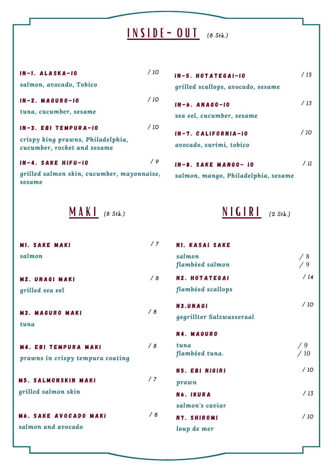# I N S I D E - O U T *(8 Stk.)*

| $IN-1. ALASKA-10$                                                | /10 |
|------------------------------------------------------------------|-----|
| salmon, avocado, Tobico                                          |     |
| $IN - 2. MAGURO - 10$                                            | /10 |
| tuna, cucumber, sesame                                           |     |
| IN-3. EBI TEMPURA-IO                                             | /10 |
| crispy king prawns, Philadelphia,<br>cucumber, rocket and sesame |     |
| IN-4. SAKE HIFU-IO                                               | 19  |
| grilled salmon skin, cucumber, mayonnaise,<br>sesame             |     |

| $IN - 5.$ HOTATEGAI-10              | / 15   |
|-------------------------------------|--------|
| grilled scallops, avocado, sesame   |        |
| $IN - 6$ . ANAGO-10                 | /13    |
| sea eel, cucumber, sesame           |        |
| $IN-7.$ CALIFORNIA-10               | /10    |
| avocado, surimi, tobico             |        |
| IN-8. SAKE MANGO-10                 | $/$ 11 |
| salmon, mango, Philadelphia, sesame |        |

**M A K I** (8 Stk.) N I G I R I

|  | $2$ Stk.) |
|--|-----------|
|--|-----------|

| <b>M1. SAKE MAKI</b>                                            | /7 | <b>N1. KASAI SAKE</b>     |           |
|-----------------------------------------------------------------|----|---------------------------|-----------|
| salmon                                                          |    | salmon<br>flambéed salmon | /8<br>/9  |
| <b>M2. UNAGI MAKI</b>                                           | /8 | <b>N2. HOTATEGAI</b>      | /14       |
| grilled sea eel                                                 |    | flambéed scallops         |           |
|                                                                 | /8 | N3.UNAGI                  | /10       |
| <b>M3. MAGURO MAKI</b><br>tuna                                  |    | gegrillter Salzwasseraal  |           |
|                                                                 |    | <b>N4. MAGURO</b>         |           |
| <b>M4. EBI TEMPURA MAKI</b><br>prawns in crispy tempura coating | /8 | tuna<br>flambéed tuna.    | /9<br>/10 |
|                                                                 |    | N5. EBI NIGIRI            | /10       |
| <b>M5. SALMONSKIN MAKI</b>                                      | /7 | prawn                     |           |
| grilled salmon skin                                             |    | N6. IKURA                 | /13       |
|                                                                 |    | salmon's caviar           |           |
| <b>M6. SAKE AVOCADO MAKI</b>                                    | /8 | N7. SHIROMI               | /10       |
| salmon and avocado                                              |    | loup de mer               |           |